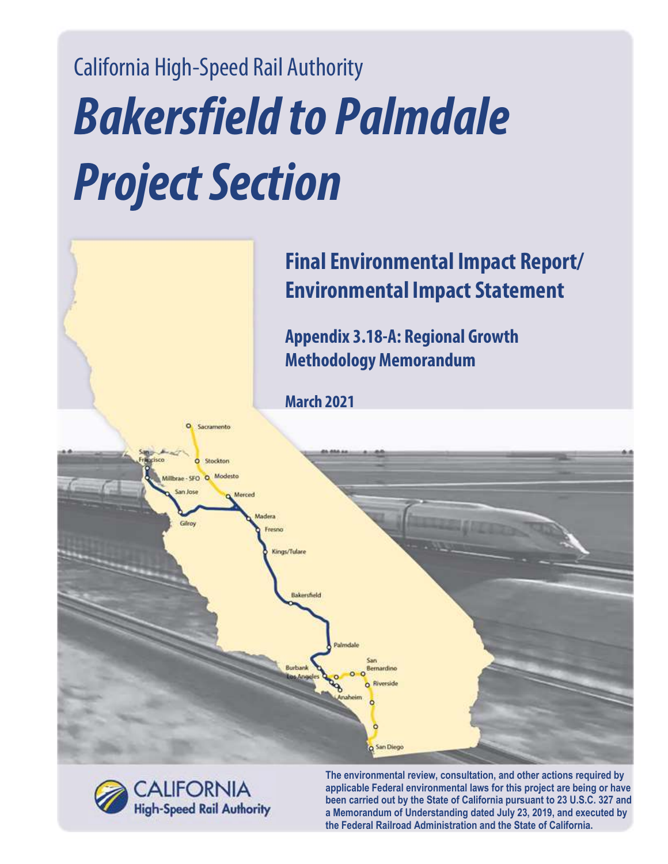# California High-Speed Rail Authority *Bakersfield to Palmdale Project Section*

# **Final Environmental Impact Report/ Environmental Impact Statement**

**Appendix 3.18-A: Regional Growth Methodology Memorandum**

**San Diego** 

**March 2021** 

**CALIFORNIA High-Speed Rail Authority** 

Sacramento

Stockton  $\circ$ Modesta

> **The environmental review, consultation, and other actions required by applicable Federal environmental laws for this project are being or have been carried out by the State of California pursuant to 23 U.S.C. 327 and a Memorandum of Understanding dated July 23, 2019, and executed by the Federal Railroad Administration and the State of California.**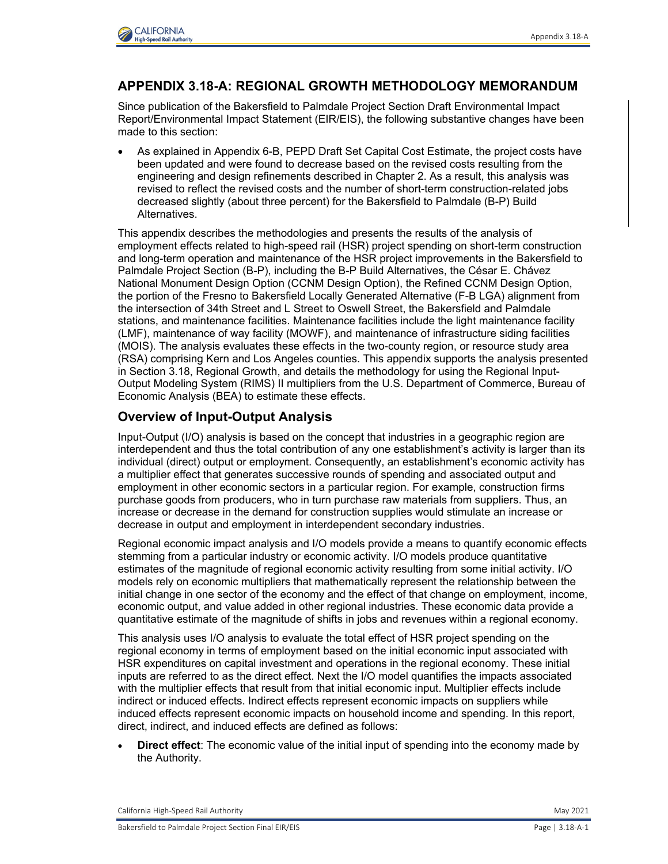

## **APPENDIX 3.18-A: REGIONAL GROWTH METHODOLOGY MEMORANDUM**

Since publication of the Bakersfield to Palmdale Project Section Draft Environmental Impact Report/Environmental Impact Statement (EIR/EIS), the following substantive changes have been made to this section:

 As explained in Appendix 6-B, PEPD Draft Set Capital Cost Estimate, the project costs have been updated and were found to decrease based on the revised costs resulting from the engineering and design refinements described in Chapter 2. As a result, this analysis was revised to reflect the revised costs and the number of short-term construction-related jobs decreased slightly (about three percent) for the Bakersfield to Palmdale (B-P) Build **Alternatives** 

This appendix describes the methodologies and presents the results of the analysis of employment effects related to high-speed rail (HSR) project spending on short-term construction and long-term operation and maintenance of the HSR project improvements in the Bakersfield to Palmdale Project Section (B-P), including the B-P Build Alternatives, the César E. Chávez National Monument Design Option (CCNM Design Option), the Refined CCNM Design Option, the portion of the Fresno to Bakersfield Locally Generated Alternative (F-B LGA) alignment from the intersection of 34th Street and L Street to Oswell Street, the Bakersfield and Palmdale stations, and maintenance facilities. Maintenance facilities include the light maintenance facility (LMF), maintenance of way facility (MOWF), and maintenance of infrastructure siding facilities (MOIS). The analysis evaluates these effects in the two-county region, or resource study area (RSA) comprising Kern and Los Angeles counties. This appendix supports the analysis presented in Section 3.18, Regional Growth, and details the methodology for using the Regional Input-Output Modeling System (RIMS) II multipliers from the U.S. Department of Commerce, Bureau of Economic Analysis (BEA) to estimate these effects.

# **Overview of Input-Output Analysis**

Input-Output (I/O) analysis is based on the concept that industries in a geographic region are interdependent and thus the total contribution of any one establishment's activity is larger than its individual (direct) output or employment. Consequently, an establishment's economic activity has a multiplier effect that generates successive rounds of spending and associated output and employment in other economic sectors in a particular region. For example, construction firms purchase goods from producers, who in turn purchase raw materials from suppliers. Thus, an increase or decrease in the demand for construction supplies would stimulate an increase or decrease in output and employment in interdependent secondary industries.

Regional economic impact analysis and I/O models provide a means to quantify economic effects stemming from a particular industry or economic activity. I/O models produce quantitative estimates of the magnitude of regional economic activity resulting from some initial activity. I/O models rely on economic multipliers that mathematically represent the relationship between the initial change in one sector of the economy and the effect of that change on employment, income, economic output, and value added in other regional industries. These economic data provide a quantitative estimate of the magnitude of shifts in jobs and revenues within a regional economy.

This analysis uses I/O analysis to evaluate the total effect of HSR project spending on the regional economy in terms of employment based on the initial economic input associated with HSR expenditures on capital investment and operations in the regional economy. These initial inputs are referred to as the direct effect. Next the I/O model quantifies the impacts associated with the multiplier effects that result from that initial economic input. Multiplier effects include indirect or induced effects. Indirect effects represent economic impacts on suppliers while induced effects represent economic impacts on household income and spending. In this report, direct, indirect, and induced effects are defined as follows:

 **Direct effect**: The economic value of the initial input of spending into the economy made by the Authority.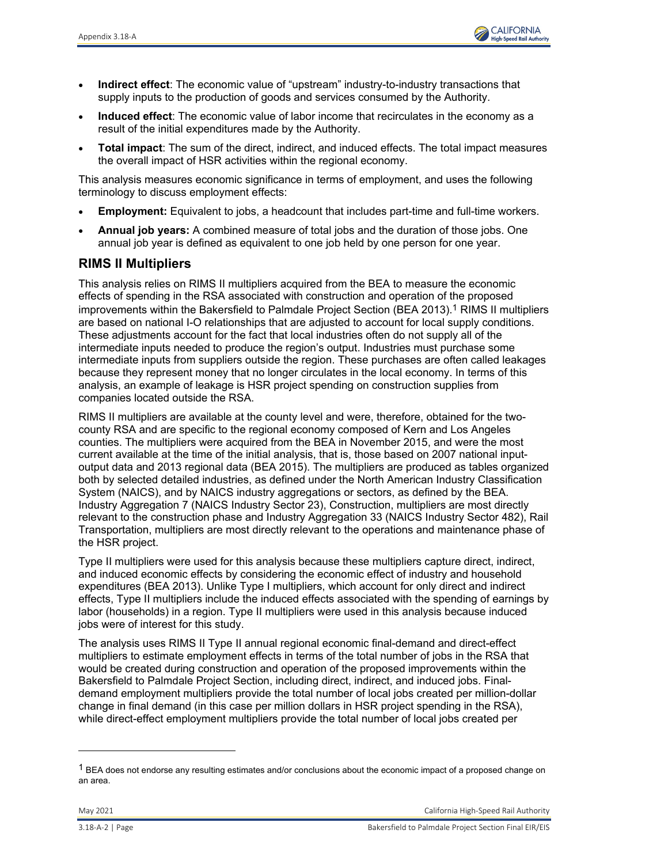

- **Indirect effect**: The economic value of "upstream" industry-to-industry transactions that supply inputs to the production of goods and services consumed by the Authority.
- **Induced effect**: The economic value of labor income that recirculates in the economy as a result of the initial expenditures made by the Authority.
- **Total impact**: The sum of the direct, indirect, and induced effects. The total impact measures the overall impact of HSR activities within the regional economy.

This analysis measures economic significance in terms of employment, and uses the following terminology to discuss employment effects:

- **Employment:** Equivalent to jobs, a headcount that includes part-time and full-time workers.
- **Annual job years:** A combined measure of total jobs and the duration of those jobs. One annual job year is defined as equivalent to one job held by one person for one year.

# **RIMS II Multipliers**

This analysis relies on RIMS II multipliers acquired from the BEA to measure the economic effects of spending in the RSA associated with construction and operation of the proposed improvements within the Bakersfield to Palmdale Project Section (BEA 2013).<sup>1</sup> RIMS II multipliers are based on national I-O relationships that are adjusted to account for local supply conditions. These adjustments account for the fact that local industries often do not supply all of the intermediate inputs needed to produce the region's output. Industries must purchase some intermediate inputs from suppliers outside the region. These purchases are often called leakages because they represent money that no longer circulates in the local economy. In terms of this analysis, an example of leakage is HSR project spending on construction supplies from companies located outside the RSA.

RIMS II multipliers are available at the county level and were, therefore, obtained for the twocounty RSA and are specific to the regional economy composed of Kern and Los Angeles counties. The multipliers were acquired from the BEA in November 2015, and were the most current available at the time of the initial analysis, that is, those based on 2007 national inputoutput data and 2013 regional data (BEA 2015). The multipliers are produced as tables organized both by selected detailed industries, as defined under the North American Industry Classification System (NAICS), and by NAICS industry aggregations or sectors, as defined by the BEA. Industry Aggregation 7 (NAICS Industry Sector 23), Construction, multipliers are most directly relevant to the construction phase and Industry Aggregation 33 (NAICS Industry Sector 482), Rail Transportation, multipliers are most directly relevant to the operations and maintenance phase of the HSR project.

Type II multipliers were used for this analysis because these multipliers capture direct, indirect, and induced economic effects by considering the economic effect of industry and household expenditures (BEA 2013). Unlike Type I multipliers, which account for only direct and indirect effects, Type II multipliers include the induced effects associated with the spending of earnings by labor (households) in a region. Type II multipliers were used in this analysis because induced jobs were of interest for this study.

The analysis uses RIMS II Type II annual regional economic final-demand and direct-effect multipliers to estimate employment effects in terms of the total number of jobs in the RSA that would be created during construction and operation of the proposed improvements within the Bakersfield to Palmdale Project Section, including direct, indirect, and induced jobs. Finaldemand employment multipliers provide the total number of local jobs created per million-dollar change in final demand (in this case per million dollars in HSR project spending in the RSA), while direct-effect employment multipliers provide the total number of local jobs created per

1

 $1$  BEA does not endorse any resulting estimates and/or conclusions about the economic impact of a proposed change on an area.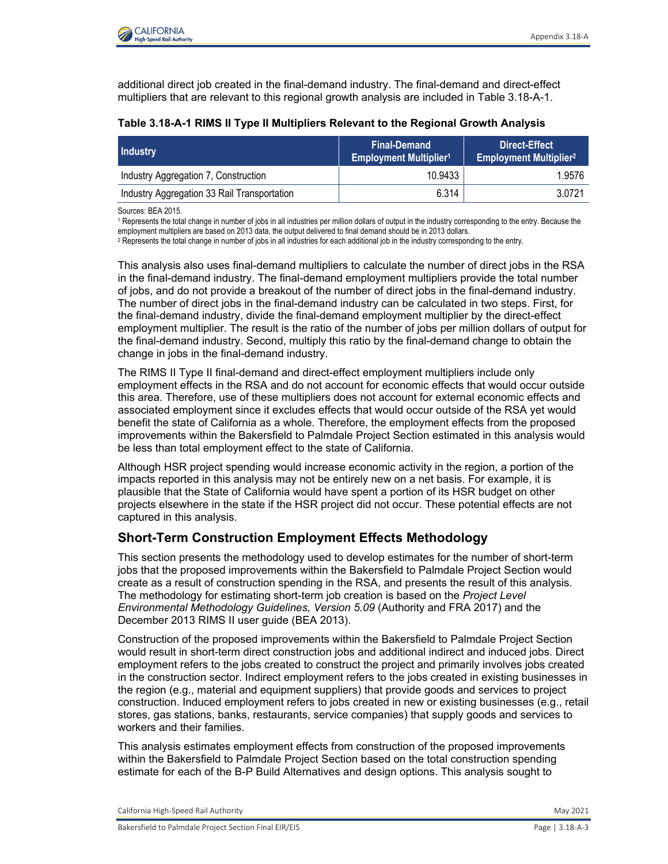

additional direct job created in the final-demand industry. The final-demand and direct-effect multipliers that are relevant to this regional growth analysis are included in Table 3.18-A-1.

| <b>Industry</b>                             | <b>Final-Demand</b><br><b>Employment Multiplier1</b> | Direct-Effect<br><b>Employment Multiplier2</b> |
|---------------------------------------------|------------------------------------------------------|------------------------------------------------|
| Industry Aggregation 7, Construction        | 10.9433                                              | 1.9576                                         |
| Industry Aggregation 33 Rail Transportation | 6.314                                                | 3.0721                                         |

#### **Table 3.18-A-1 RIMS II Type II Multipliers Relevant to the Regional Growth Analysis**

Sources: BEA 2015.

<sup>1</sup> Represents the total change in number of jobs in all industries per million dollars of output in the industry corresponding to the entry. Because the<br>employment multipliers are based on 2013 data, the output delivered

<sup>2</sup> Represents the total change in number of jobs in all industries for each additional job in the industry corresponding to the entry.

This analysis also uses final-demand multipliers to calculate the number of direct jobs in the RSA in the final-demand industry. The final-demand employment multipliers provide the total number of jobs, and do not provide a breakout of the number of direct jobs in the final-demand industry. The number of direct jobs in the final-demand industry can be calculated in two steps. First, for the final-demand industry, divide the final-demand employment multiplier by the direct-effect employment multiplier. The result is the ratio of the number of jobs per million dollars of output for the final-demand industry. Second, multiply this ratio by the final-demand change to obtain the change in jobs in the final-demand industry.

The RIMS II Type II final-demand and direct-effect employment multipliers include only employment effects in the RSA and do not account for economic effects that would occur outside this area. Therefore, use of these multipliers does not account for external economic effects and associated employment since it excludes effects that would occur outside of the RSA yet would benefit the state of California as a whole. Therefore, the employment effects from the proposed improvements within the Bakersfield to Palmdale Project Section estimated in this analysis would be less than total employment effect to the state of California.

Although HSR project spending would increase economic activity in the region, a portion of the impacts reported in this analysis may not be entirely new on a net basis. For example, it is plausible that the State of California would have spent a portion of its HSR budget on other projects elsewhere in the state if the HSR project did not occur. These potential effects are not captured in this analysis.

# **Short-Term Construction Employment Effects Methodology**

This section presents the methodology used to develop estimates for the number of short-term jobs that the proposed improvements within the Bakersfield to Palmdale Project Section would create as a result of construction spending in the RSA, and presents the result of this analysis. The methodology for estimating short-term job creation is based on the *Project Level Environmental Methodology Guidelines, Version 5.09* (Authority and FRA 2017) and the December 2013 RIMS II user guide (BEA 2013).

Construction of the proposed improvements within the Bakersfield to Palmdale Project Section would result in short-term direct construction jobs and additional indirect and induced jobs. Direct employment refers to the jobs created to construct the project and primarily involves jobs created in the construction sector. Indirect employment refers to the jobs created in existing businesses in the region (e.g., material and equipment suppliers) that provide goods and services to project construction. Induced employment refers to jobs created in new or existing businesses (e.g., retail stores, gas stations, banks, restaurants, service companies) that supply goods and services to workers and their families.

This analysis estimates employment effects from construction of the proposed improvements within the Bakersfield to Palmdale Project Section based on the total construction spending estimate for each of the B-P Build Alternatives and design options. This analysis sought to

California High-Speed Rail Authority May 2021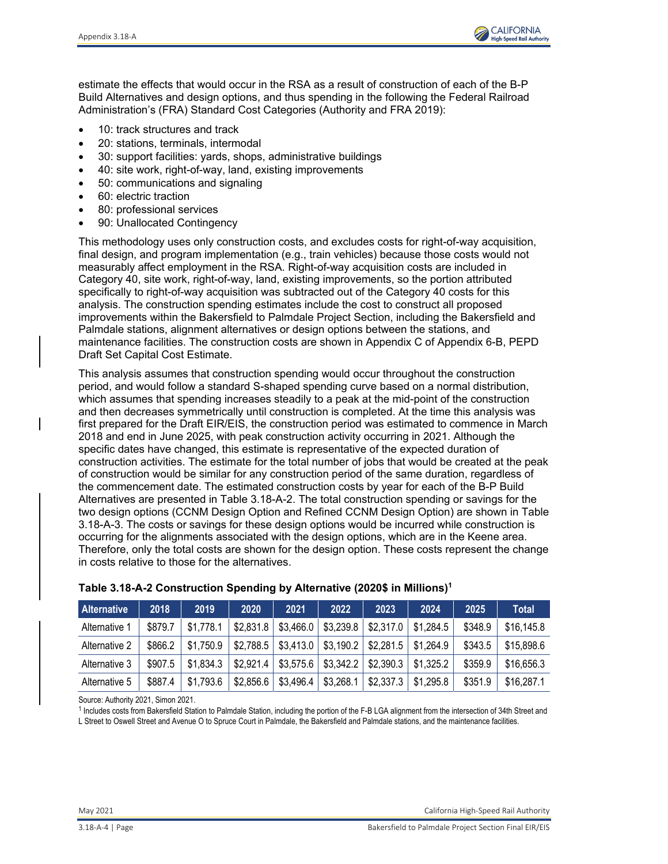

estimate the effects that would occur in the RSA as a result of construction of each of the B-P Build Alternatives and design options, and thus spending in the following the Federal Railroad Administration's (FRA) Standard Cost Categories (Authority and FRA 2019):

- 10: track structures and track
- 20: stations, terminals, intermodal
- 30: support facilities: yards, shops, administrative buildings
- 40: site work, right-of-way, land, existing improvements
- 50: communications and signaling
- 60: electric traction
- 80: professional services
- 90: Unallocated Contingency

This methodology uses only construction costs, and excludes costs for right-of-way acquisition, final design, and program implementation (e.g., train vehicles) because those costs would not measurably affect employment in the RSA. Right-of-way acquisition costs are included in Category 40, site work, right-of-way, land, existing improvements, so the portion attributed specifically to right-of-way acquisition was subtracted out of the Category 40 costs for this analysis. The construction spending estimates include the cost to construct all proposed improvements within the Bakersfield to Palmdale Project Section, including the Bakersfield and Palmdale stations, alignment alternatives or design options between the stations, and maintenance facilities. The construction costs are shown in Appendix C of Appendix 6-B, PEPD Draft Set Capital Cost Estimate.

This analysis assumes that construction spending would occur throughout the construction period, and would follow a standard S-shaped spending curve based on a normal distribution, which assumes that spending increases steadily to a peak at the mid-point of the construction and then decreases symmetrically until construction is completed. At the time this analysis was first prepared for the Draft EIR/EIS, the construction period was estimated to commence in March 2018 and end in June 2025, with peak construction activity occurring in 2021. Although the specific dates have changed, this estimate is representative of the expected duration of construction activities. The estimate for the total number of jobs that would be created at the peak of construction would be similar for any construction period of the same duration, regardless of the commencement date. The estimated construction costs by year for each of the B-P Build Alternatives are presented in Table 3.18-A-2. The total construction spending or savings for the two design options (CCNM Design Option and Refined CCNM Design Option) are shown in Table 3.18-A-3. The costs or savings for these design options would be incurred while construction is occurring for the alignments associated with the design options, which are in the Keene area. Therefore, only the total costs are shown for the design option. These costs represent the change in costs relative to those for the alternatives.

| <b>Alternative</b> | 2018    | 2019      | 2020      | 2021      | 2022      | 2023      | 2024      | 2025    | Total      |
|--------------------|---------|-----------|-----------|-----------|-----------|-----------|-----------|---------|------------|
| Alternative 1      | \$879.7 | \$1,778.1 | \$2,831.8 | \$3,466.0 | \$3,239.8 | \$2,317.0 | \$1,284.5 | \$348.9 | \$16,145.8 |
| Alternative 2      | \$866.2 | \$1,750.9 | \$2,788.5 | \$3,413.0 | \$3,190.2 | \$2,281.5 | \$1,264.9 | \$343.5 | \$15,898.6 |
| Alternative 3      | \$907.5 | \$1,834.3 | \$2,921.4 | \$3,575.6 | \$3,342.2 | \$2,390.3 | \$1,325.2 | \$359.9 | \$16,656.3 |
| Alternative 5      | \$887.4 | \$1,793.6 | \$2,856.6 | \$3,496.4 | \$3,268.1 | \$2,337.3 | \$1,295.8 | \$351.9 | \$16,287.1 |

#### **Table 3.18-A-2 Construction Spending by Alternative (2020\$ in Millions)1**

Source: Authority 2021, Simon 2021.

1 Includes costs from Bakersfield Station to Palmdale Station, including the portion of the F-B LGA alignment from the intersection of 34th Street and L Street to Oswell Street and Avenue O to Spruce Court in Palmdale, the Bakersfield and Palmdale stations, and the maintenance facilities.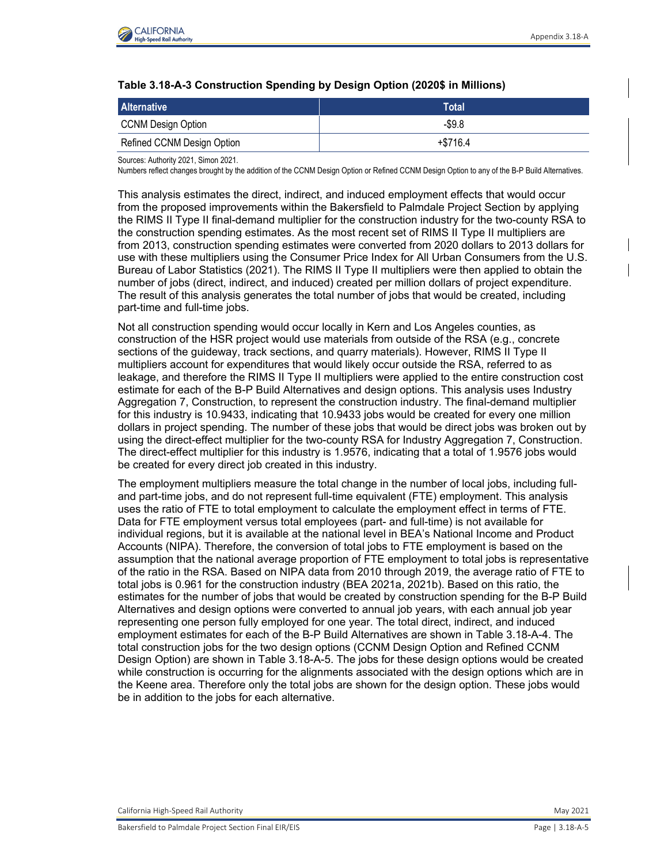

#### **Table 3.18-A-3 Construction Spending by Design Option (2020\$ in Millions)**

| <b>Alternative</b>         | Total      |
|----------------------------|------------|
| <b>CCNM Design Option</b>  | $-$ \$9.8  |
| Refined CCNM Design Option | $+ $716.4$ |

Sources: Authority 2021, Simon 2021.

Numbers reflect changes brought by the addition of the CCNM Design Option or Refined CCNM Design Option to any of the B-P Build Alternatives.

This analysis estimates the direct, indirect, and induced employment effects that would occur from the proposed improvements within the Bakersfield to Palmdale Project Section by applying the RIMS II Type II final-demand multiplier for the construction industry for the two-county RSA to the construction spending estimates. As the most recent set of RIMS II Type II multipliers are from 2013, construction spending estimates were converted from 2020 dollars to 2013 dollars for use with these multipliers using the Consumer Price Index for All Urban Consumers from the U.S. Bureau of Labor Statistics (2021). The RIMS II Type II multipliers were then applied to obtain the number of jobs (direct, indirect, and induced) created per million dollars of project expenditure. The result of this analysis generates the total number of jobs that would be created, including part-time and full-time jobs.

Not all construction spending would occur locally in Kern and Los Angeles counties, as construction of the HSR project would use materials from outside of the RSA (e.g., concrete sections of the guideway, track sections, and quarry materials). However, RIMS II Type II multipliers account for expenditures that would likely occur outside the RSA, referred to as leakage, and therefore the RIMS II Type II multipliers were applied to the entire construction cost estimate for each of the B-P Build Alternatives and design options. This analysis uses Industry Aggregation 7, Construction, to represent the construction industry. The final-demand multiplier for this industry is 10.9433, indicating that 10.9433 jobs would be created for every one million dollars in project spending. The number of these jobs that would be direct jobs was broken out by using the direct-effect multiplier for the two-county RSA for Industry Aggregation 7, Construction. The direct-effect multiplier for this industry is 1.9576, indicating that a total of 1.9576 jobs would be created for every direct job created in this industry.

The employment multipliers measure the total change in the number of local jobs, including fulland part-time jobs, and do not represent full-time equivalent (FTE) employment. This analysis uses the ratio of FTE to total employment to calculate the employment effect in terms of FTE. Data for FTE employment versus total employees (part- and full-time) is not available for individual regions, but it is available at the national level in BEA's National Income and Product Accounts (NIPA). Therefore, the conversion of total jobs to FTE employment is based on the assumption that the national average proportion of FTE employment to total jobs is representative of the ratio in the RSA. Based on NIPA data from 2010 through 2019, the average ratio of FTE to total jobs is 0.961 for the construction industry (BEA 2021a, 2021b). Based on this ratio, the estimates for the number of jobs that would be created by construction spending for the B-P Build Alternatives and design options were converted to annual job years, with each annual job year representing one person fully employed for one year. The total direct, indirect, and induced employment estimates for each of the B-P Build Alternatives are shown in Table 3.18-A-4. The total construction jobs for the two design options (CCNM Design Option and Refined CCNM Design Option) are shown in Table 3.18-A-5. The jobs for these design options would be created while construction is occurring for the alignments associated with the design options which are in the Keene area. Therefore only the total jobs are shown for the design option. These jobs would be in addition to the jobs for each alternative.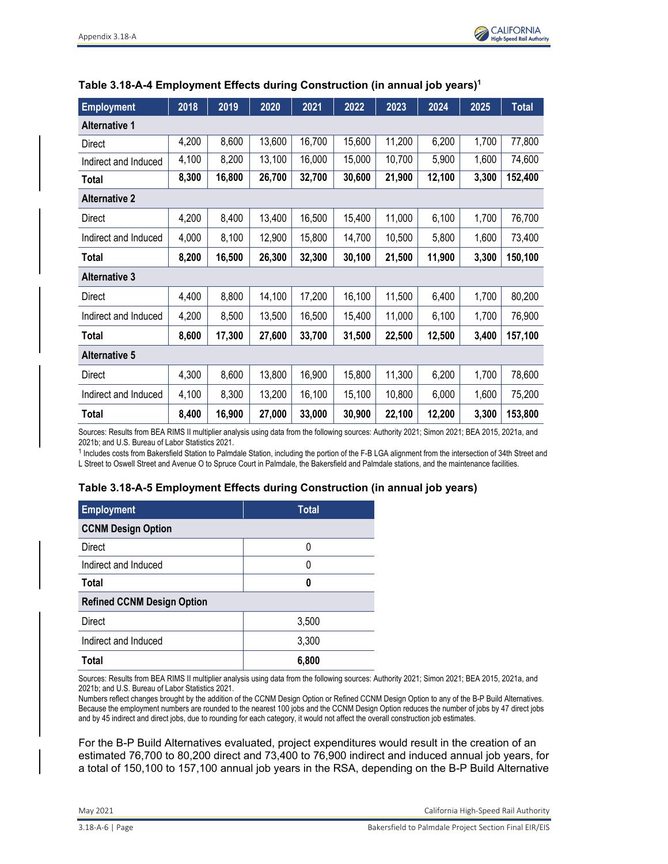

| <b>Employment</b>    | 2018  | 2019   | 2020   | 2021   | 2022   | 2023   | 2024   | 2025  | <b>Total</b> |
|----------------------|-------|--------|--------|--------|--------|--------|--------|-------|--------------|
| <b>Alternative 1</b> |       |        |        |        |        |        |        |       |              |
| Direct               | 4,200 | 8,600  | 13,600 | 16,700 | 15,600 | 11,200 | 6,200  | 1,700 | 77,800       |
| Indirect and Induced | 4,100 | 8,200  | 13,100 | 16,000 | 15,000 | 10,700 | 5,900  | 1,600 | 74,600       |
| Total                | 8,300 | 16,800 | 26,700 | 32,700 | 30,600 | 21,900 | 12,100 | 3,300 | 152,400      |
| <b>Alternative 2</b> |       |        |        |        |        |        |        |       |              |
| Direct               | 4,200 | 8,400  | 13,400 | 16,500 | 15,400 | 11,000 | 6,100  | 1,700 | 76,700       |
| Indirect and Induced | 4,000 | 8,100  | 12,900 | 15,800 | 14,700 | 10,500 | 5,800  | 1,600 | 73,400       |
| Total                | 8,200 | 16,500 | 26,300 | 32,300 | 30,100 | 21,500 | 11,900 | 3,300 | 150,100      |
| <b>Alternative 3</b> |       |        |        |        |        |        |        |       |              |
| Direct               | 4,400 | 8,800  | 14,100 | 17,200 | 16,100 | 11,500 | 6,400  | 1,700 | 80,200       |
| Indirect and Induced | 4,200 | 8,500  | 13,500 | 16,500 | 15,400 | 11,000 | 6,100  | 1,700 | 76,900       |
| Total                | 8,600 | 17,300 | 27,600 | 33,700 | 31,500 | 22,500 | 12,500 | 3,400 | 157,100      |
| <b>Alternative 5</b> |       |        |        |        |        |        |        |       |              |
| Direct               | 4,300 | 8,600  | 13,800 | 16,900 | 15,800 | 11,300 | 6,200  | 1,700 | 78,600       |
| Indirect and Induced | 4,100 | 8,300  | 13,200 | 16,100 | 15,100 | 10,800 | 6,000  | 1,600 | 75,200       |
| Total                | 8,400 | 16,900 | 27,000 | 33,000 | 30,900 | 22,100 | 12,200 | 3,300 | 153,800      |

#### **Table 3.18-A-4 Employment Effects during Construction (in annual job years)1**

Sources: Results from BEA RIMS II multiplier analysis using data from the following sources: Authority 2021; Simon 2021; BEA 2015, 2021a, and 2021b; and U.S. Bureau of Labor Statistics 2021.

1 Includes costs from Bakersfield Station to Palmdale Station, including the portion of the F-B LGA alignment from the intersection of 34th Street and L Street to Oswell Street and Avenue O to Spruce Court in Palmdale, the Bakersfield and Palmdale stations, and the maintenance facilities.

### **Table 3.18-A-5 Employment Effects during Construction (in annual job years)**

| <b>Employment</b>                 | <b>Total</b> |  |  |  |  |
|-----------------------------------|--------------|--|--|--|--|
| <b>CCNM Design Option</b>         |              |  |  |  |  |
| Direct                            | 0            |  |  |  |  |
| Indirect and Induced              | 0            |  |  |  |  |
| <b>Total</b>                      | 0            |  |  |  |  |
| <b>Refined CCNM Design Option</b> |              |  |  |  |  |
| <b>Direct</b>                     | 3,500        |  |  |  |  |
| Indirect and Induced              | 3,300        |  |  |  |  |
| Total                             | 6,800        |  |  |  |  |

Sources: Results from BEA RIMS II multiplier analysis using data from the following sources: Authority 2021; Simon 2021; BEA 2015, 2021a, and 2021b; and U.S. Bureau of Labor Statistics 2021.

Numbers reflect changes brought by the addition of the CCNM Design Option or Refined CCNM Design Option to any of the B-P Build Alternatives. Because the employment numbers are rounded to the nearest 100 jobs and the CCNM Design Option reduces the number of jobs by 47 direct jobs and by 45 indirect and direct jobs, due to rounding for each category, it would not affect the overall construction job estimates.

For the B-P Build Alternatives evaluated, project expenditures would result in the creation of an estimated 76,700 to 80,200 direct and 73,400 to 76,900 indirect and induced annual job years, for a total of 150,100 to 157,100 annual job years in the RSA, depending on the B-P Build Alternative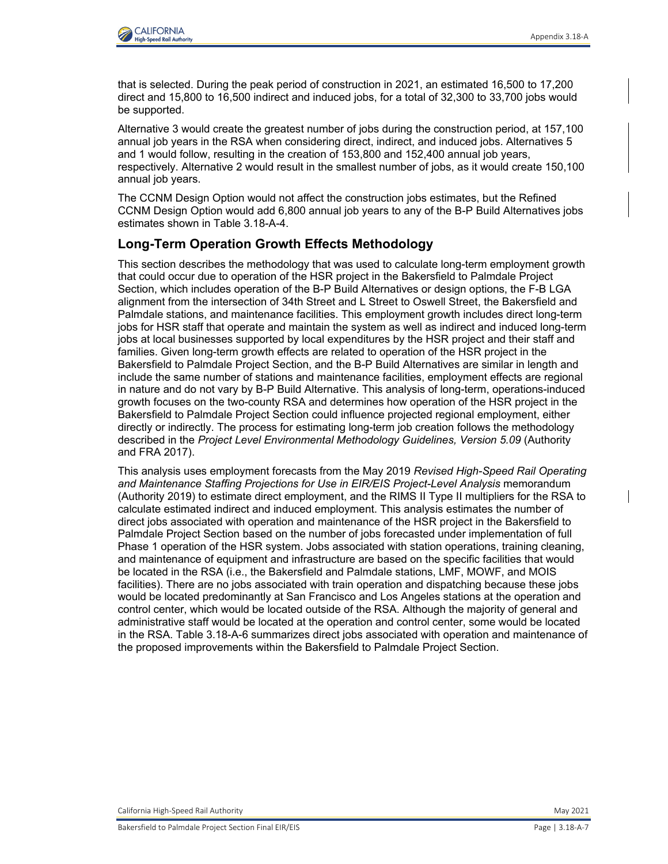

that is selected. During the peak period of construction in 2021, an estimated 16,500 to 17,200 direct and 15,800 to 16,500 indirect and induced jobs, for a total of 32,300 to 33,700 jobs would be supported.

Alternative 3 would create the greatest number of jobs during the construction period, at 157,100 annual job years in the RSA when considering direct, indirect, and induced jobs. Alternatives 5 and 1 would follow, resulting in the creation of 153,800 and 152,400 annual job years, respectively. Alternative 2 would result in the smallest number of jobs, as it would create 150,100 annual job years.

The CCNM Design Option would not affect the construction jobs estimates, but the Refined CCNM Design Option would add 6,800 annual job years to any of the B-P Build Alternatives jobs estimates shown in Table 3.18-A-4.

# **Long-Term Operation Growth Effects Methodology**

This section describes the methodology that was used to calculate long-term employment growth that could occur due to operation of the HSR project in the Bakersfield to Palmdale Project Section, which includes operation of the B-P Build Alternatives or design options, the F-B LGA alignment from the intersection of 34th Street and L Street to Oswell Street, the Bakersfield and Palmdale stations, and maintenance facilities. This employment growth includes direct long-term jobs for HSR staff that operate and maintain the system as well as indirect and induced long-term jobs at local businesses supported by local expenditures by the HSR project and their staff and families. Given long-term growth effects are related to operation of the HSR project in the Bakersfield to Palmdale Project Section, and the B-P Build Alternatives are similar in length and include the same number of stations and maintenance facilities, employment effects are regional in nature and do not vary by B-P Build Alternative. This analysis of long-term, operations-induced growth focuses on the two-county RSA and determines how operation of the HSR project in the Bakersfield to Palmdale Project Section could influence projected regional employment, either directly or indirectly. The process for estimating long-term job creation follows the methodology described in the Project Level Environmental Methodology Guidelines, Version 5.09 (Authority and FRA 2017).

This analysis uses employment forecasts from the May 2019 *Revised High-Speed Rail Operating*  and Maintenance Staffing Projections for Use in EIR/EIS Project-Level Analysis memorandum (Authority 2019) to estimate direct employment, and the RIMS II Type II multipliers for the RSA to calculate estimated indirect and induced employment. This analysis estimates the number of direct jobs associated with operation and maintenance of the HSR project in the Bakersfield to Palmdale Project Section based on the number of jobs forecasted under implementation of full Phase 1 operation of the HSR system. Jobs associated with station operations, training cleaning, and maintenance of equipment and infrastructure are based on the specific facilities that would be located in the RSA (i.e., the Bakersfield and Palmdale stations, LMF, MOWF, and MOIS facilities). There are no jobs associated with train operation and dispatching because these jobs would be located predominantly at San Francisco and Los Angeles stations at the operation and control center, which would be located outside of the RSA. Although the majority of general and administrative staff would be located at the operation and control center, some would be located in the RSA. Table 3.18-A-6 summarizes direct jobs associated with operation and maintenance of the proposed improvements within the Bakersfield to Palmdale Project Section.

California High‐Speed Rail Authority May 2021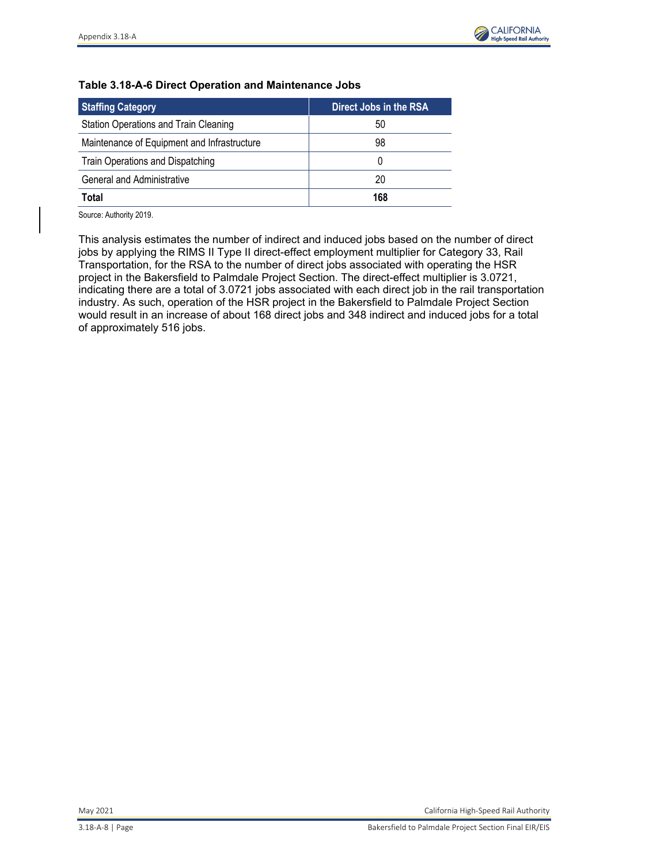

## **Table 3.18-A-6 Direct Operation and Maintenance Jobs**

| <b>Staffing Category</b>                    | Direct Jobs in the RSA |
|---------------------------------------------|------------------------|
| Station Operations and Train Cleaning       | 50                     |
| Maintenance of Equipment and Infrastructure | 98                     |
| Train Operations and Dispatching            |                        |
| General and Administrative                  | 20                     |
| Total                                       | 168                    |

Source: Authority 2019.

This analysis estimates the number of indirect and induced jobs based on the number of direct jobs by applying the RIMS II Type II direct-effect employment multiplier for Category 33, Rail Transportation, for the RSA to the number of direct jobs associated with operating the HSR project in the Bakersfield to Palmdale Project Section. The direct-effect multiplier is 3.0721, indicating there are a total of 3.0721 jobs associated with each direct job in the rail transportation industry. As such, operation of the HSR project in the Bakersfield to Palmdale Project Section would result in an increase of about 168 direct jobs and 348 indirect and induced jobs for a total of approximately 516 jobs.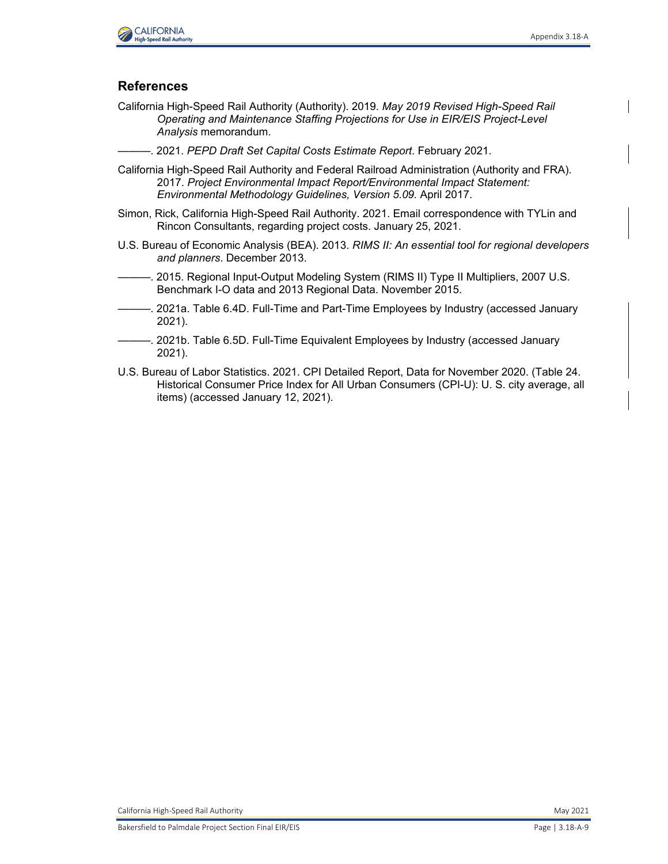

# **References**

- California High-Speed Rail Authority (Authority). 2019. *May 2019 Revised High-Speed Rail Operating and Maintenance Staffing Projections for Use in EIR/EIS Project-Level Analysis* memorandum.
- ———. 2021. *PEPD Draft Set Capital Costs Estimate Report*. February 2021.
- California High-Speed Rail Authority and Federal Railroad Administration (Authority and FRA). 2017. *Project Environmental Impact Report/Environmental Impact Statement: Environmental Methodology Guidelines, Version 5.09.* April 2017.
- Simon, Rick, California High-Speed Rail Authority. 2021. Email correspondence with TYLin and Rincon Consultants, regarding project costs. January 25, 2021.
- U.S. Bureau of Economic Analysis (BEA). 2013. *RIMS II: An essential tool for regional developers and planners*. December 2013.
- -. 2015. Regional Input-Output Modeling System (RIMS II) Type II Multipliers, 2007 U.S. Benchmark I-O data and 2013 Regional Data. November 2015.
- -. 2021a. Table 6.4D. Full-Time and Part-Time Employees by Industry (accessed January 2021).
	- 2021b. Table 6.5D. Full-Time Equivalent Employees by Industry (accessed January 2021).
- U.S. Bureau of Labor Statistics. 2021. CPI Detailed Report, Data for November 2020. (Table 24. Historical Consumer Price Index for All Urban Consumers (CPI-U): U. S. city average, all items) (accessed January 12, 2021).